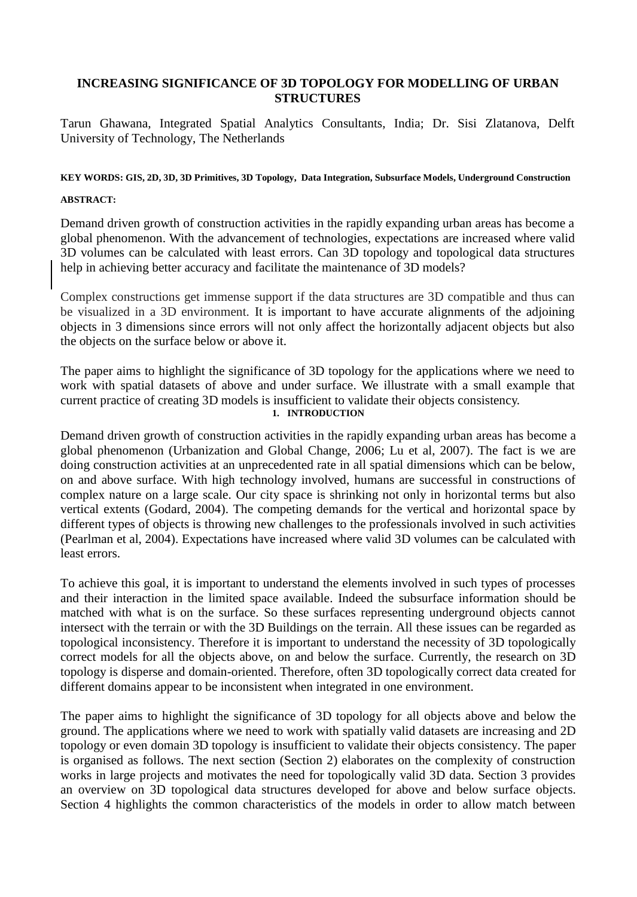### **INCREASING SIGNIFICANCE OF 3D TOPOLOGY FOR MODELLING OF URBAN STRUCTURES**

Tarun Ghawana, Integrated Spatial Analytics Consultants, India; Dr. Sisi Zlatanova, Delft University of Technology, The Netherlands

#### **KEY WORDS: GIS, 2D, 3D, 3D Primitives, 3D Topology, Data Integration, Subsurface Models, Underground Construction**

#### **ABSTRACT:**

Demand driven growth of construction activities in the rapidly expanding urban areas has become a global phenomenon. With the advancement of technologies, expectations are increased where valid 3D volumes can be calculated with least errors. Can 3D topology and topological data structures help in achieving better accuracy and facilitate the maintenance of 3D models?

Complex constructions get immense support if the data structures are 3D compatible and thus can be visualized in a 3D environment. It is important to have accurate alignments of the adjoining objects in 3 dimensions since errors will not only affect the horizontally adjacent objects but also the objects on the surface below or above it.

The paper aims to highlight the significance of 3D topology for the applications where we need to work with spatial datasets of above and under surface. We illustrate with a small example that current practice of creating 3D models is insufficient to validate their objects consistency.

**1. INTRODUCTION**

Demand driven growth of construction activities in the rapidly expanding urban areas has become a global phenomenon (Urbanization and Global Change, 2006; Lu et al, 2007). The fact is we are doing construction activities at an unprecedented rate in all spatial dimensions which can be below, on and above surface. With high technology involved, humans are successful in constructions of complex nature on a large scale. Our city space is shrinking not only in horizontal terms but also vertical extents (Godard, 2004). The competing demands for the vertical and horizontal space by different types of objects is throwing new challenges to the professionals involved in such activities (Pearlman et al, 2004). Expectations have increased where valid 3D volumes can be calculated with least errors.

To achieve this goal, it is important to understand the elements involved in such types of processes and their interaction in the limited space available. Indeed the subsurface information should be matched with what is on the surface. So these surfaces representing underground objects cannot intersect with the terrain or with the 3D Buildings on the terrain. All these issues can be regarded as topological inconsistency. Therefore it is important to understand the necessity of 3D topologically correct models for all the objects above, on and below the surface. Currently, the research on 3D topology is disperse and domain-oriented. Therefore, often 3D topologically correct data created for different domains appear to be inconsistent when integrated in one environment.

The paper aims to highlight the significance of 3D topology for all objects above and below the ground. The applications where we need to work with spatially valid datasets are increasing and 2D topology or even domain 3D topology is insufficient to validate their objects consistency. The paper is organised as follows. The next section (Section 2) elaborates on the complexity of construction works in large projects and motivates the need for topologically valid 3D data. Section 3 provides an overview on 3D topological data structures developed for above and below surface objects. Section 4 highlights the common characteristics of the models in order to allow match between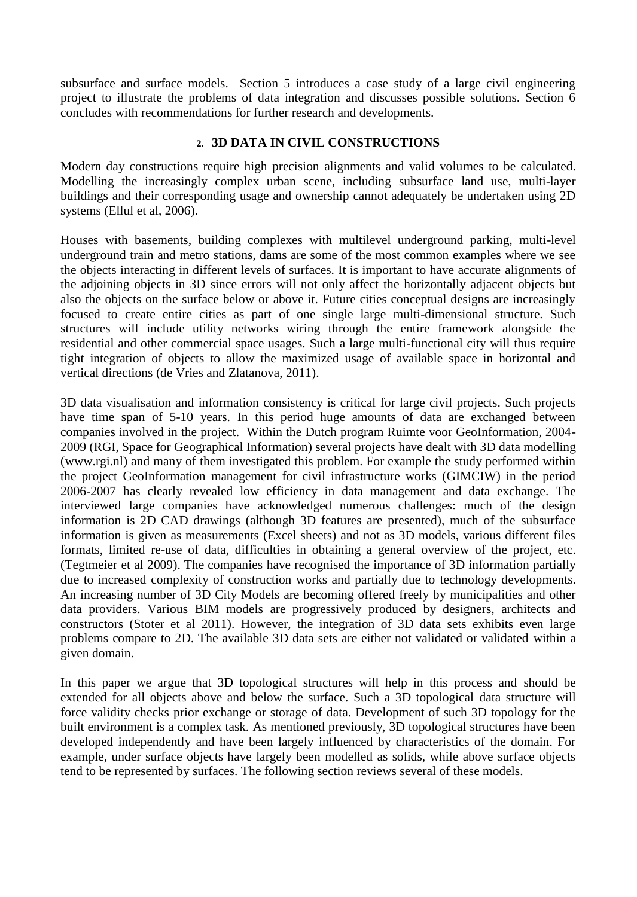subsurface and surface models. Section 5 introduces a case study of a large civil engineering project to illustrate the problems of data integration and discusses possible solutions. Section 6 concludes with recommendations for further research and developments.

## **2. 3D DATA IN CIVIL CONSTRUCTIONS**

Modern day constructions require high precision alignments and valid volumes to be calculated. Modelling the increasingly complex urban scene, including subsurface land use, multi-layer buildings and their corresponding usage and ownership cannot adequately be undertaken using 2D systems (Ellul et al, 2006).

Houses with basements, building complexes with multilevel underground parking, multi-level underground train and metro stations, dams are some of the most common examples where we see the objects interacting in different levels of surfaces. It is important to have accurate alignments of the adjoining objects in 3D since errors will not only affect the horizontally adjacent objects but also the objects on the surface below or above it. Future cities conceptual designs are increasingly focused to create entire cities as part of one single large multi-dimensional structure. Such structures will include utility networks wiring through the entire framework alongside the residential and other commercial space usages. Such a large multi-functional city will thus require tight integration of objects to allow the maximized usage of available space in horizontal and vertical directions (de Vries and Zlatanova, 2011).

3D data visualisation and information consistency is critical for large civil projects. Such projects have time span of 5-10 years. In this period huge amounts of data are exchanged between companies involved in the project. Within the Dutch program Ruimte voor GeoInformation, 2004- 2009 (RGI, Space for Geographical Information) several projects have dealt with 3D data modelling (www.rgi.nl) and many of them investigated this problem. For example the study performed within the project GeoInformation management for civil infrastructure works (GIMCIW) in the period 2006-2007 has clearly revealed low efficiency in data management and data exchange. The interviewed large companies have acknowledged numerous challenges: much of the design information is 2D CAD drawings (although 3D features are presented), much of the subsurface information is given as measurements (Excel sheets) and not as 3D models, various different files formats, limited re-use of data, difficulties in obtaining a general overview of the project, etc. (Tegtmeier et al 2009). The companies have recognised the importance of 3D information partially due to increased complexity of construction works and partially due to technology developments. An increasing number of 3D City Models are becoming offered freely by municipalities and other data providers. Various BIM models are progressively produced by designers, architects and constructors (Stoter et al 2011). However, the integration of 3D data sets exhibits even large problems compare to 2D. The available 3D data sets are either not validated or validated within a given domain.

In this paper we argue that 3D topological structures will help in this process and should be extended for all objects above and below the surface. Such a 3D topological data structure will force validity checks prior exchange or storage of data. Development of such 3D topology for the built environment is a complex task. As mentioned previously, 3D topological structures have been developed independently and have been largely influenced by characteristics of the domain. For example, under surface objects have largely been modelled as solids, while above surface objects tend to be represented by surfaces. The following section reviews several of these models.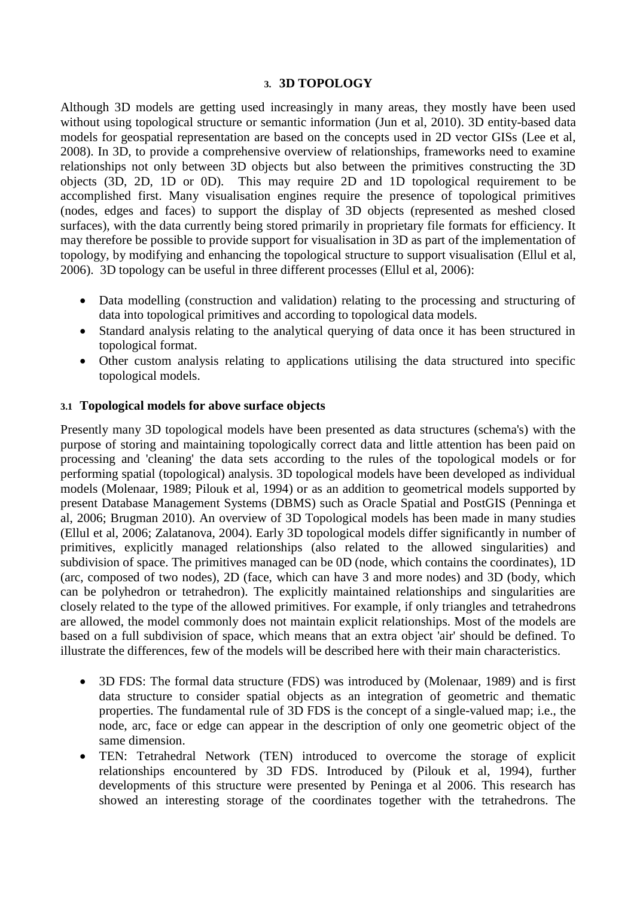### **3. 3D TOPOLOGY**

Although 3D models are getting used increasingly in many areas, they mostly have been used without using topological structure or semantic information (Jun et al, 2010). 3D entity-based data models for geospatial representation are based on the concepts used in 2D vector GISs (Lee et al, 2008). In 3D, to provide a comprehensive overview of relationships, frameworks need to examine relationships not only between 3D objects but also between the primitives constructing the 3D objects (3D, 2D, 1D or 0D). This may require 2D and 1D topological requirement to be accomplished first. Many visualisation engines require the presence of topological primitives (nodes, edges and faces) to support the display of 3D objects (represented as meshed closed surfaces), with the data currently being stored primarily in proprietary file formats for efficiency. It may therefore be possible to provide support for visualisation in 3D as part of the implementation of topology, by modifying and enhancing the topological structure to support visualisation (Ellul et al, 2006). 3D topology can be useful in three different processes (Ellul et al, 2006):

- Data modelling (construction and validation) relating to the processing and structuring of data into topological primitives and according to topological data models.
- Standard analysis relating to the analytical querying of data once it has been structured in topological format.
- Other custom analysis relating to applications utilising the data structured into specific topological models.

### **3.1 Topological models for above surface objects**

Presently many 3D topological models have been presented as data structures (schema's) with the purpose of storing and maintaining topologically correct data and little attention has been paid on processing and 'cleaning' the data sets according to the rules of the topological models or for performing spatial (topological) analysis. 3D topological models have been developed as individual models (Molenaar, 1989; Pilouk et al, 1994) or as an addition to geometrical models supported by present Database Management Systems (DBMS) such as Oracle Spatial and PostGIS (Penninga et al, 2006; Brugman 2010). An overview of 3D Topological models has been made in many studies (Ellul et al, 2006; Zalatanova, 2004). Early 3D topological models differ significantly in number of primitives, explicitly managed relationships (also related to the allowed singularities) and subdivision of space. The primitives managed can be 0D (node, which contains the coordinates), 1D (arc, composed of two nodes), 2D (face, which can have 3 and more nodes) and 3D (body, which can be polyhedron or tetrahedron). The explicitly maintained relationships and singularities are closely related to the type of the allowed primitives. For example, if only triangles and tetrahedrons are allowed, the model commonly does not maintain explicit relationships. Most of the models are based on a full subdivision of space, which means that an extra object 'air' should be defined. To illustrate the differences, few of the models will be described here with their main characteristics.

- 3D FDS: The formal data structure (FDS) was introduced by (Molenaar, 1989) and is first data structure to consider spatial objects as an integration of geometric and thematic properties. The fundamental rule of 3D FDS is the concept of a single-valued map; i.e., the node, arc, face or edge can appear in the description of only one geometric object of the same dimension.
- TEN: Tetrahedral Network (TEN) introduced to overcome the storage of explicit relationships encountered by 3D FDS. Introduced by (Pilouk et al, 1994), further developments of this structure were presented by Peninga et al 2006. This research has showed an interesting storage of the coordinates together with the tetrahedrons. The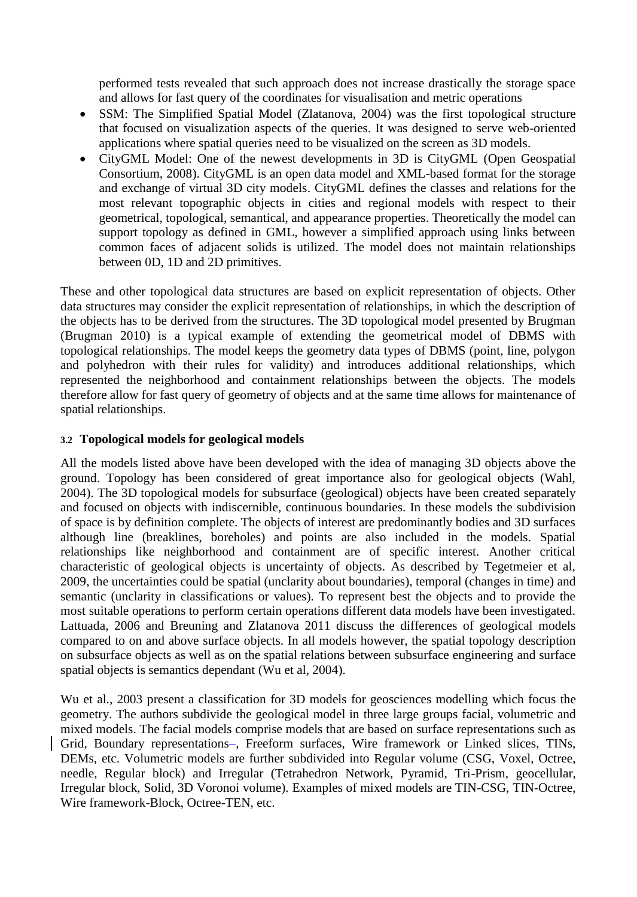performed tests revealed that such approach does not increase drastically the storage space and allows for fast query of the coordinates for visualisation and metric operations

- SSM: The Simplified Spatial Model (Zlatanova, 2004) was the first topological structure that focused on visualization aspects of the queries. It was designed to serve web-oriented applications where spatial queries need to be visualized on the screen as 3D models.
- CityGML Model: One of the newest developments in 3D is CityGML (Open Geospatial Consortium, 2008). CityGML is an open data model and XML-based format for the storage and exchange of virtual 3D city models. CityGML defines the classes and relations for the most relevant topographic objects in cities and regional models with respect to their geometrical, topological, semantical, and appearance properties. Theoretically the model can support topology as defined in GML, however a simplified approach using links between common faces of adjacent solids is utilized. The model does not maintain relationships between 0D, 1D and 2D primitives.

These and other topological data structures are based on explicit representation of objects. Other data structures may consider the explicit representation of relationships, in which the description of the objects has to be derived from the structures. The 3D topological model presented by Brugman (Brugman 2010) is a typical example of extending the geometrical model of DBMS with topological relationships. The model keeps the geometry data types of DBMS (point, line, polygon and polyhedron with their rules for validity) and introduces additional relationships, which represented the neighborhood and containment relationships between the objects. The models therefore allow for fast query of geometry of objects and at the same time allows for maintenance of spatial relationships.

## **3.2 Topological models for geological models**

All the models listed above have been developed with the idea of managing 3D objects above the ground. Topology has been considered of great importance also for geological objects (Wahl, 2004). The 3D topological models for subsurface (geological) objects have been created separately and focused on objects with indiscernible, continuous boundaries. In these models the subdivision of space is by definition complete. The objects of interest are predominantly bodies and 3D surfaces although line (breaklines, boreholes) and points are also included in the models. Spatial relationships like neighborhood and containment are of specific interest. Another critical characteristic of geological objects is uncertainty of objects. As described by Tegetmeier et al, 2009, the uncertainties could be spatial (unclarity about boundaries), temporal (changes in time) and semantic (unclarity in classifications or values). To represent best the objects and to provide the most suitable operations to perform certain operations different data models have been investigated. Lattuada, 2006 and Breuning and Zlatanova 2011 discuss the differences of geological models compared to on and above surface objects. In all models however, the spatial topology description on subsurface objects as well as on the spatial relations between subsurface engineering and surface spatial objects is semantics dependant (Wu et al, 2004).

Wu et al., 2003 present a classification for 3D models for geosciences modelling which focus the geometry. The authors subdivide the geological model in three large groups facial, volumetric and mixed models. The facial models comprise models that are based on surface representations such as Grid, Boundary representations-, Freeform surfaces, Wire framework or Linked slices, TINs, DEMs, etc. Volumetric models are further subdivided into Regular volume (CSG, Voxel, Octree, needle, Regular block) and Irregular (Tetrahedron Network, Pyramid, Tri-Prism, geocellular, Irregular block, Solid, 3D Voronoi volume). Examples of mixed models are TIN-CSG, TIN-Octree, Wire framework-Block, Octree-TEN, etc.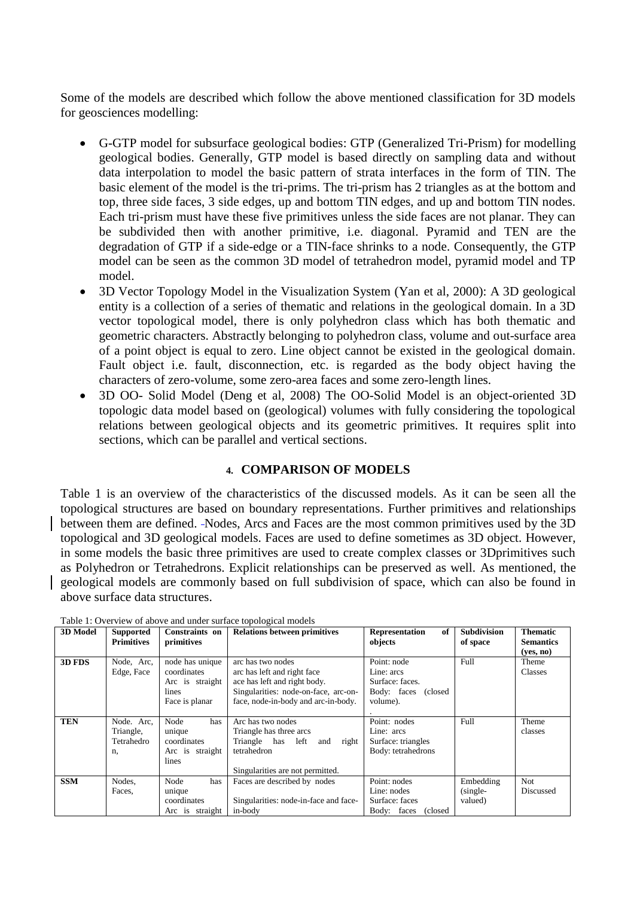Some of the models are described which follow the above mentioned classification for 3D models for geosciences modelling:

- G-GTP model for subsurface geological bodies: GTP (Generalized Tri-Prism) for modelling geological bodies. Generally, GTP model is based directly on sampling data and without data interpolation to model the basic pattern of strata interfaces in the form of TIN. The basic element of the model is the tri-prims. The tri-prism has 2 triangles as at the bottom and top, three side faces, 3 side edges, up and bottom TIN edges, and up and bottom TIN nodes. Each tri-prism must have these five primitives unless the side faces are not planar. They can be subdivided then with another primitive, i.e. diagonal. Pyramid and TEN are the degradation of GTP if a side-edge or a TIN-face shrinks to a node. Consequently, the GTP model can be seen as the common 3D model of tetrahedron model, pyramid model and TP model.
- 3D Vector Topology Model in the Visualization System (Yan et al, 2000): A 3D geological entity is a collection of a series of thematic and relations in the geological domain. In a 3D vector topological model, there is only polyhedron class which has both thematic and geometric characters. Abstractly belonging to polyhedron class, volume and out-surface area of a point object is equal to zero. Line object cannot be existed in the geological domain. Fault object i.e. fault, disconnection, etc. is regarded as the body object having the characters of zero-volume, some zero-area faces and some zero-length lines.
- 3D OO- Solid Model (Deng et al, 2008) The OO-Solid Model is an object-oriented 3D topologic data model based on (geological) volumes with fully considering the topological relations between geological objects and its geometric primitives. It requires split into sections, which can be parallel and vertical sections.

## **4. COMPARISON OF MODELS**

Table 1 is an overview of the characteristics of the discussed models. As it can be seen all the topological structures are based on boundary representations. Further primitives and relationships between them are defined. Nodes, Arcs and Faces are the most common primitives used by the 3D topological and 3D geological models. Faces are used to define sometimes as 3D object. However, in some models the basic three primitives are used to create complex classes or 3Dprimitives such as Polyhedron or Tetrahedrons. Explicit relationships can be preserved as well. As mentioned, the geological models are commonly based on full subdivision of space, which can also be found in above surface data structures.

| <b>3D Model</b> | <b>Supported</b><br><b>Primitives</b>       | Constraints on<br>primitives                                                 | <b>Relations between primitives</b>                                                                                                                             | Representation<br>of<br>objects                                                    | <b>Subdivision</b><br>of space     | <b>Thematic</b><br><b>Semantics</b> |
|-----------------|---------------------------------------------|------------------------------------------------------------------------------|-----------------------------------------------------------------------------------------------------------------------------------------------------------------|------------------------------------------------------------------------------------|------------------------------------|-------------------------------------|
| 3D FDS          | Node, Arc,<br>Edge, Face                    | node has unique<br>coordinates<br>Arc is straight<br>lines<br>Face is planar | arc has two nodes<br>arc has left and right face<br>ace has left and right body.<br>Singularities: node-on-face, arc-on-<br>face, node-in-body and arc-in-body. | Point: node<br>Line: arcs<br>Surface: faces.<br>Body: faces<br>(closed<br>volume). | Full                               | (yes, no)<br>Theme<br>Classes       |
| <b>TEN</b>      | Node. Arc.<br>Triangle,<br>Tetrahedro<br>n. | Node<br>has<br>unique<br>coordinates<br>Arc is straight<br>lines             | Arc has two nodes<br>Triangle has three arcs<br>Triangle has left and right<br>tetrahedron<br>Singularities are not permitted.                                  | Point: nodes<br>Line: arcs<br>Surface: triangles<br>Body: tetrahedrons             | Full                               | Theme<br>classes                    |
| <b>SSM</b>      | Nodes.<br>Faces,                            | Node<br>has<br>unique<br>coordinates<br>Arc is straight                      | Faces are described by nodes<br>Singularities: node-in-face and face-<br>in-body                                                                                | Point: nodes<br>Line: nodes<br>Surface: faces<br>Body: faces<br>(closed)           | Embedding<br>$(single-$<br>valued) | <b>Not</b><br>Discussed             |

Table 1: Overview of above and under surface topological models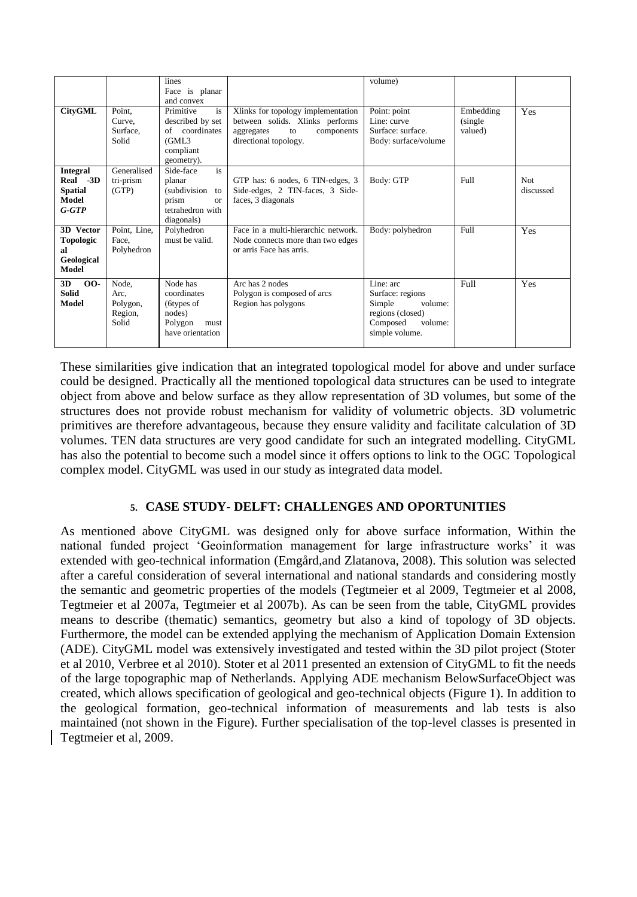|                                                                   |                                               | lines<br>Face is planar                                                                                     |                                                                                                                                  | volume)                                                                                                         |                                  |                         |
|-------------------------------------------------------------------|-----------------------------------------------|-------------------------------------------------------------------------------------------------------------|----------------------------------------------------------------------------------------------------------------------------------|-----------------------------------------------------------------------------------------------------------------|----------------------------------|-------------------------|
| <b>CityGML</b>                                                    | Point,<br>Curve.<br>Surface,<br>Solid         | and convex<br>Primitive<br>is<br>described by set<br>coordinates<br>of<br>(GML3)<br>compliant<br>geometry). | Xlinks for topology implementation<br>between solids. Xlinks performs<br>components<br>aggregates<br>to<br>directional topology. | Point: point<br>Line: curve<br>Surface: surface.<br>Body: surface/volume                                        | Embedding<br>(single)<br>valued) | Yes                     |
| <b>Integral</b><br>Real -3D<br><b>Spatial</b><br>Model<br>$G-GTP$ | Generalised<br>tri-prism<br>(GTP)             | is<br>Side-face<br>planar<br>(subdivision<br>to<br>prism<br>$\alpha$<br>tetrahedron with<br>diagonals)      | GTP has: 6 nodes, 6 TIN-edges, 3<br>Side-edges, 2 TIN-faces, 3 Side-<br>faces, 3 diagonals                                       | Body: GTP                                                                                                       | <b>Full</b>                      | <b>Not</b><br>discussed |
| 3D Vector<br><b>Topologic</b><br>al<br>Geological<br>Model        | Point, Line,<br>Face.<br>Polyhedron           | Polyhedron<br>must be valid.                                                                                | Face in a multi-hierarchic network.<br>Node connects more than two edges<br>or arris Face has arris.                             | Body: polyhedron                                                                                                | Full                             | Yes                     |
| $00-$<br>3D<br><b>Solid</b><br>Model                              | Node.<br>Arc,<br>Polygon,<br>Region,<br>Solid | Node has<br>coordinates<br>(6types of<br>nodes)<br>Polygon<br>must<br>have orientation                      | Arc has 2 nodes<br>Polygon is composed of arcs<br>Region has polygons                                                            | Line: arc<br>Surface: regions<br>Simple<br>volume:<br>regions (closed)<br>Composed<br>volume:<br>simple volume. | Full                             | Yes                     |

These similarities give indication that an integrated topological model for above and under surface could be designed. Practically all the mentioned topological data structures can be used to integrate object from above and below surface as they allow representation of 3D volumes, but some of the structures does not provide robust mechanism for validity of volumetric objects. 3D volumetric primitives are therefore advantageous, because they ensure validity and facilitate calculation of 3D volumes. TEN data structures are very good candidate for such an integrated modelling. CityGML has also the potential to become such a model since it offers options to link to the OGC Topological complex model. CityGML was used in our study as integrated data model.

# **5. CASE STUDY- DELFT: CHALLENGES AND OPORTUNITIES**

As mentioned above CityGML was designed only for above surface information, Within the national funded project 'Geoinformation management for large infrastructure works' it was extended with geo-technical information (Emgård,and Zlatanova, 2008). This solution was selected after a careful consideration of several international and national standards and considering mostly the semantic and geometric properties of the models (Tegtmeier et al 2009, Tegtmeier et al 2008, Tegtmeier et al 2007a, Tegtmeier et al 2007b). As can be seen from the table, CityGML provides means to describe (thematic) semantics, geometry but also a kind of topology of 3D objects. Furthermore, the model can be extended applying the mechanism of Application Domain Extension (ADE). CityGML model was extensively investigated and tested within the 3D pilot project (Stoter et al 2010, Verbree et al 2010). Stoter et al 2011 presented an extension of CityGML to fit the needs of the large topographic map of Netherlands. Applying ADE mechanism BelowSurfaceObject was created, which allows specification of geological and geo-technical objects (Figure 1). In addition to the geological formation, geo-technical information of measurements and lab tests is also maintained (not shown in the Figure). Further specialisation of the top-level classes is presented in Tegtmeier et al, 2009.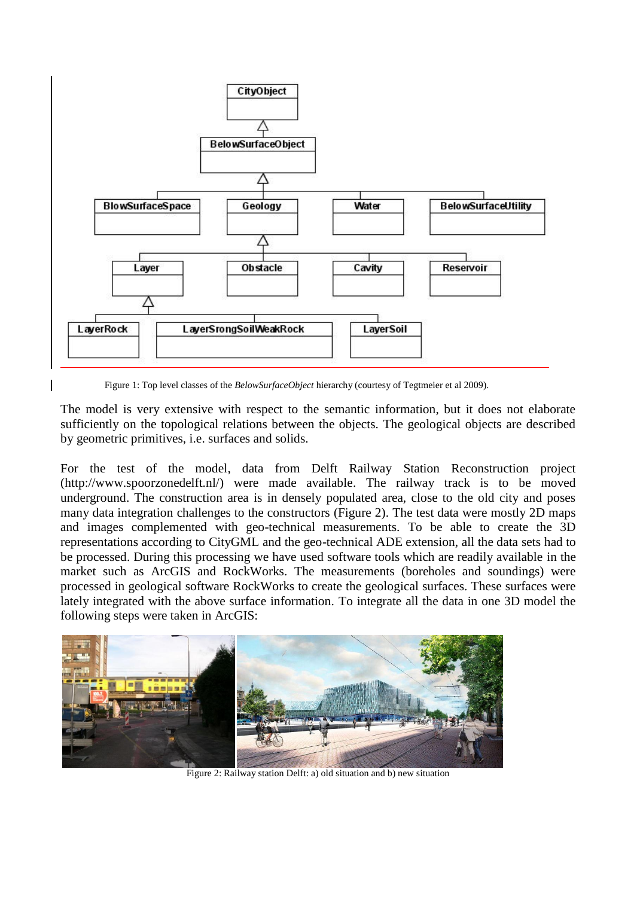

Figure 1: Top level classes of the *BelowSurfaceObject* hierarchy (courtesy of Tegtmeier et al 2009).

The model is very extensive with respect to the semantic information, but it does not elaborate sufficiently on the topological relations between the objects. The geological objects are described by geometric primitives, i.e. surfaces and solids.

For the test of the model, data from Delft Railway Station Reconstruction project (http://www.spoorzonedelft.nl/) were made available. The railway track is to be moved underground. The construction area is in densely populated area, close to the old city and poses many data integration challenges to the constructors (Figure 2). The test data were mostly 2D maps and images complemented with geo-technical measurements. To be able to create the 3D representations according to CityGML and the geo-technical ADE extension, all the data sets had to be processed. During this processing we have used software tools which are readily available in the market such as ArcGIS and RockWorks. The measurements (boreholes and soundings) were processed in geological software RockWorks to create the geological surfaces. These surfaces were lately integrated with the above surface information. To integrate all the data in one 3D model the following steps were taken in ArcGIS:



Figure 2: Railway station Delft: a) old situation and b) new situation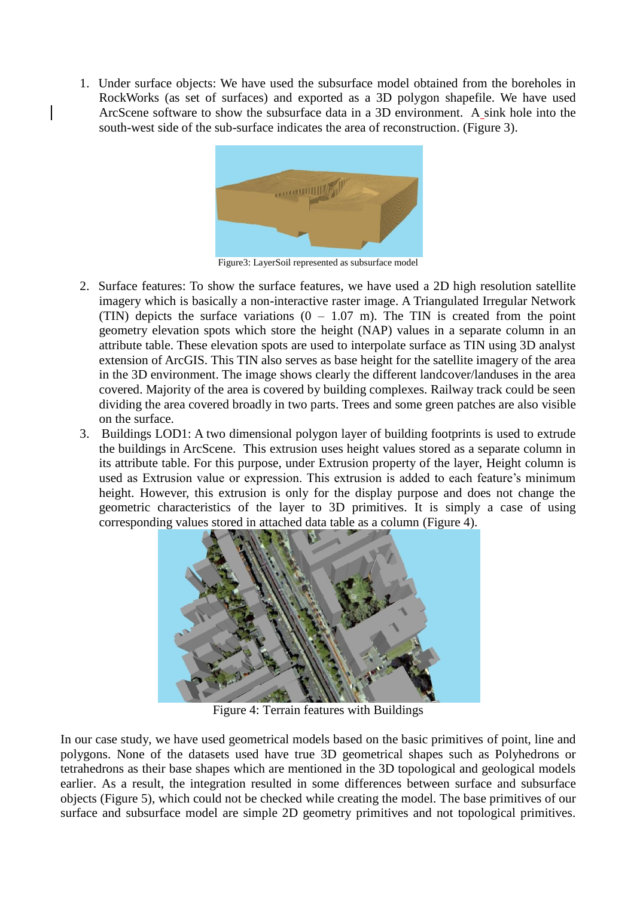1. Under surface objects: We have used the subsurface model obtained from the boreholes in RockWorks (as set of surfaces) and exported as a 3D polygon shapefile. We have used ArcScene software to show the subsurface data in a 3D environment. A sink hole into the south-west side of the sub-surface indicates the area of reconstruction. (Figure 3).



Figure3: LayerSoil represented as subsurface model

- 2. Surface features: To show the surface features, we have used a 2D high resolution satellite imagery which is basically a non-interactive raster image. A Triangulated Irregular Network (TIN) depicts the surface variations  $(0 - 1.07 \text{ m})$ . The TIN is created from the point geometry elevation spots which store the height (NAP) values in a separate column in an attribute table. These elevation spots are used to interpolate surface as TIN using 3D analyst extension of ArcGIS. This TIN also serves as base height for the satellite imagery of the area in the 3D environment. The image shows clearly the different landcover/landuses in the area covered. Majority of the area is covered by building complexes. Railway track could be seen dividing the area covered broadly in two parts. Trees and some green patches are also visible on the surface.
- 3. Buildings LOD1: A two dimensional polygon layer of building footprints is used to extrude the buildings in ArcScene. This extrusion uses height values stored as a separate column in its attribute table. For this purpose, under Extrusion property of the layer, Height column is used as Extrusion value or expression. This extrusion is added to each feature's minimum height. However, this extrusion is only for the display purpose and does not change the geometric characteristics of the layer to 3D primitives. It is simply a case of using corresponding values stored in attached data table as a column (Figure 4).



Figure 4: Terrain features with Buildings

In our case study, we have used geometrical models based on the basic primitives of point, line and polygons. None of the datasets used have true 3D geometrical shapes such as Polyhedrons or tetrahedrons as their base shapes which are mentioned in the 3D topological and geological models earlier. As a result, the integration resulted in some differences between surface and subsurface objects (Figure 5), which could not be checked while creating the model. The base primitives of our surface and subsurface model are simple 2D geometry primitives and not topological primitives.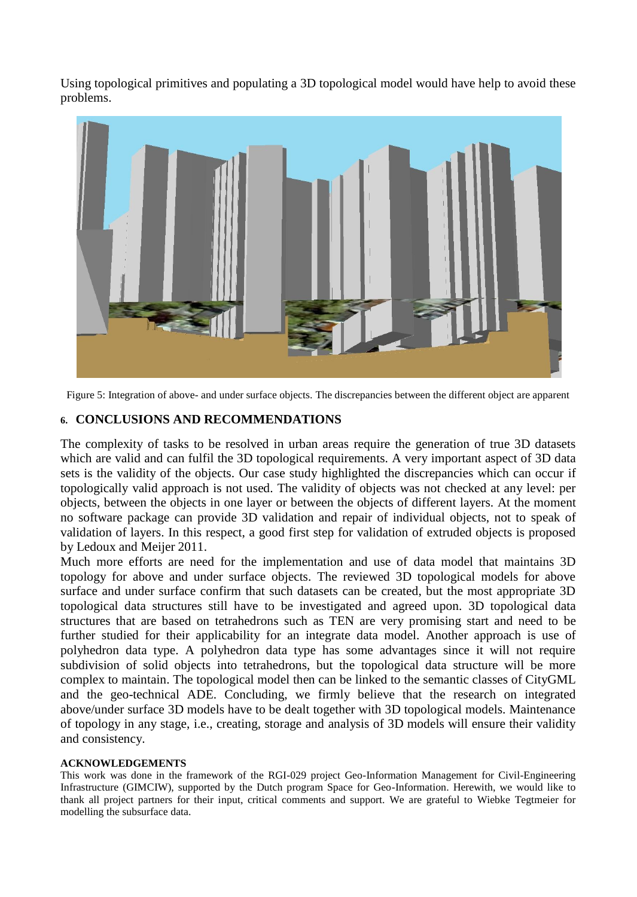Using topological primitives and populating a 3D topological model would have help to avoid these problems.



Figure 5: Integration of above- and under surface objects. The discrepancies between the different object are apparent

## **6. CONCLUSIONS AND RECOMMENDATIONS**

The complexity of tasks to be resolved in urban areas require the generation of true 3D datasets which are valid and can fulfil the 3D topological requirements. A very important aspect of 3D data sets is the validity of the objects. Our case study highlighted the discrepancies which can occur if topologically valid approach is not used. The validity of objects was not checked at any level: per objects, between the objects in one layer or between the objects of different layers. At the moment no software package can provide 3D validation and repair of individual objects, not to speak of validation of layers. In this respect, a good first step for validation of extruded objects is proposed by Ledoux and Meijer 2011.

Much more efforts are need for the implementation and use of data model that maintains 3D topology for above and under surface objects. The reviewed 3D topological models for above surface and under surface confirm that such datasets can be created, but the most appropriate 3D topological data structures still have to be investigated and agreed upon. 3D topological data structures that are based on tetrahedrons such as TEN are very promising start and need to be further studied for their applicability for an integrate data model. Another approach is use of polyhedron data type. A polyhedron data type has some advantages since it will not require subdivision of solid objects into tetrahedrons, but the topological data structure will be more complex to maintain. The topological model then can be linked to the semantic classes of CityGML and the geo-technical ADE. Concluding, we firmly believe that the research on integrated above/under surface 3D models have to be dealt together with 3D topological models. Maintenance of topology in any stage, i.e., creating, storage and analysis of 3D models will ensure their validity and consistency.

#### **ACKNOWLEDGEMENTS**

This work was done in the framework of the RGI-029 project Geo-Information Management for Civil-Engineering Infrastructure (GIMCIW), supported by the Dutch program Space for Geo-Information. Herewith, we would like to thank all project partners for their input, critical comments and support. We are grateful to Wiebke Tegtmeier for modelling the subsurface data.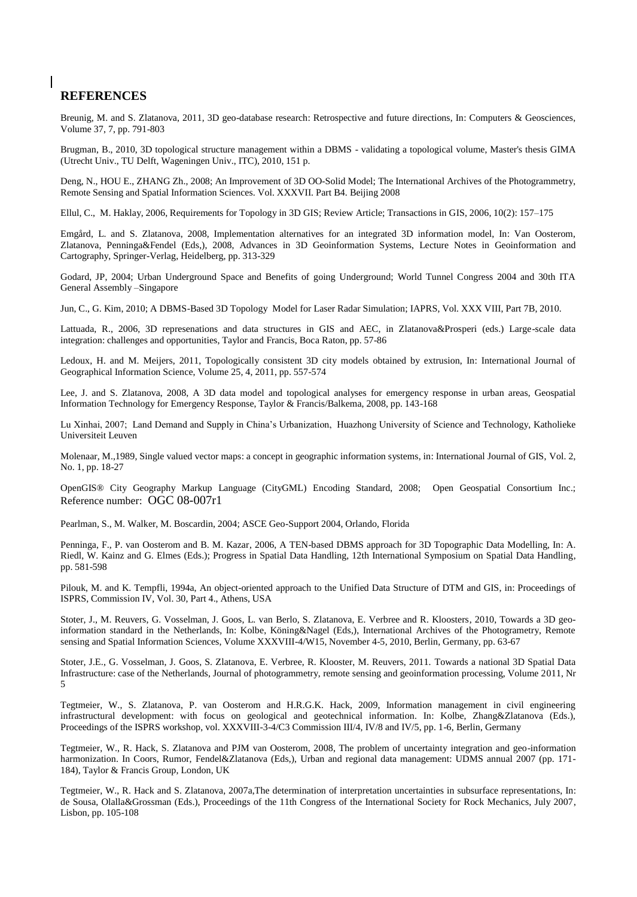#### **REFERENCES**

Breunig, M. and S. Zlatanova, 2011, 3D geo-database research: Retrospective and future directions, In: Computers & Geosciences, Volume 37, 7, pp. 791-803

Brugman, B., 2010, 3D topological structure management within a DBMS - validating a topological volume, Master's thesis GIMA (Utrecht Univ., TU Delft, Wageningen Univ., ITC), 2010, 151 p.

Deng, N., HOU E., ZHANG Zh., 2008; An Improvement of 3D OO-Solid Model; The International Archives of the Photogrammetry, Remote Sensing and Spatial Information Sciences. Vol. XXXVII. Part B4. Beijing 2008

Ellul, C., M. Haklay, 2006, Requirements for Topology in 3D GIS; Review Article; Transactions in GIS, 2006, 10(2): 157–175

Emgård, L. and S. Zlatanova, 2008, Implementation alternatives for an integrated 3D information model, In: Van Oosterom, Zlatanova, Penninga&Fendel (Eds,), 2008, Advances in 3D Geoinformation Systems, Lecture Notes in Geoinformation and Cartography, Springer-Verlag, Heidelberg, pp. 313-329

Godard, JP, 2004; Urban Underground Space and Benefits of going Underground; World Tunnel Congress 2004 and 30th ITA General Assembly –Singapore

Jun, C., G. Kim, 2010; A DBMS-Based 3D Topology Model for Laser Radar Simulation; IAPRS, Vol. XXX VIII, Part 7B, 2010.

Lattuada, R., 2006, 3D represenations and data structures in GIS and AEC, in Zlatanova&Prosperi (eds.) Large-scale data integration: challenges and opportunities, Taylor and Francis, Boca Raton, pp. 57-86

Ledoux, H. and M. Meijers, 2011, Topologically consistent 3D city models obtained by extrusion, In: International Journal of Geographical Information Science, Volume 25, 4, 2011, pp. 557-574

Lee, J. and S. Zlatanova, 2008, A 3D data model and topological analyses for emergency response in urban areas, Geospatial Information Technology for Emergency Response, Taylor & Francis/Balkema, 2008, pp. 143-168

Lu Xinhai, 2007; Land Demand and Supply in China's Urbanization, Huazhong University of Science and Technology, Katholieke Universiteit Leuven

Molenaar, M.,1989, Single valued vector maps: a concept in geographic information systems, in: International Journal of GIS, Vol. 2, No. 1, pp. 18-27

OpenGIS® City Geography Markup Language (CityGML) Encoding Standard, 2008; Open Geospatial Consortium Inc.; Reference number: OGC 08-007r1

Pearlman, S., M. Walker, M. Boscardin, 2004; ASCE Geo-Support 2004, Orlando, Florida

Penninga, F., P. van Oosterom and B. M. Kazar, 2006, A TEN-based DBMS approach for 3D Topographic Data Modelling, In: A. Riedl, W. Kainz and G. Elmes (Eds.); Progress in Spatial Data Handling, 12th International Symposium on Spatial Data Handling, pp. 581-598

Pilouk, M. and K. Tempfli, 1994a, An object-oriented approach to the Unified Data Structure of DTM and GIS, in: Proceedings of ISPRS, Commission IV, Vol. 30, Part 4., Athens, USA

Stoter, J., M. Reuvers, G. Vosselman, J. Goos, L. van Berlo, S. Zlatanova, E. Verbree and R. Kloosters, 2010, Towards a 3D geoinformation standard in the Netherlands, In: Kolbe, Köning&Nagel (Eds,), International Archives of the Photogrametry, Remote sensing and Spatial Information Sciences, Volume XXXVIII-4/W15, November 4-5, 2010, Berlin, Germany, pp. 63-67

Stoter, J.E., G. Vosselman, J. Goos, S. Zlatanova, E. Verbree, R. Klooster, M. Reuvers, 2011. Towards a national 3D Spatial Data Infrastructure: case of the Netherlands, Journal of photogrammetry, remote sensing and geoinformation processing, Volume 2011, Nr 5

Tegtmeier, W., S. Zlatanova, P. van Oosterom and H.R.G.K. Hack, 2009, Information management in civil engineering infrastructural development: with focus on geological and geotechnical information. In: Kolbe, Zhang&Zlatanova (Eds.), Proceedings of the ISPRS workshop, vol. XXXVIII-3-4/C3 Commission III/4, IV/8 and IV/5, pp. 1-6, Berlin, Germany

Tegtmeier, W., R. Hack, S. Zlatanova and PJM van Oosterom, 2008, The problem of uncertainty integration and geo-information harmonization. In Coors, Rumor, Fendel&Zlatanova (Eds.), Urban and regional data management: UDMS annual 2007 (pp. 171-184), Taylor & Francis Group, London, UK

Tegtmeier, W., R. Hack and S. Zlatanova, 2007a,The determination of interpretation uncertainties in subsurface representations, In: de Sousa, Olalla&Grossman (Eds.), Proceedings of the 11th Congress of the International Society for Rock Mechanics, July 2007, Lisbon, pp. 105-108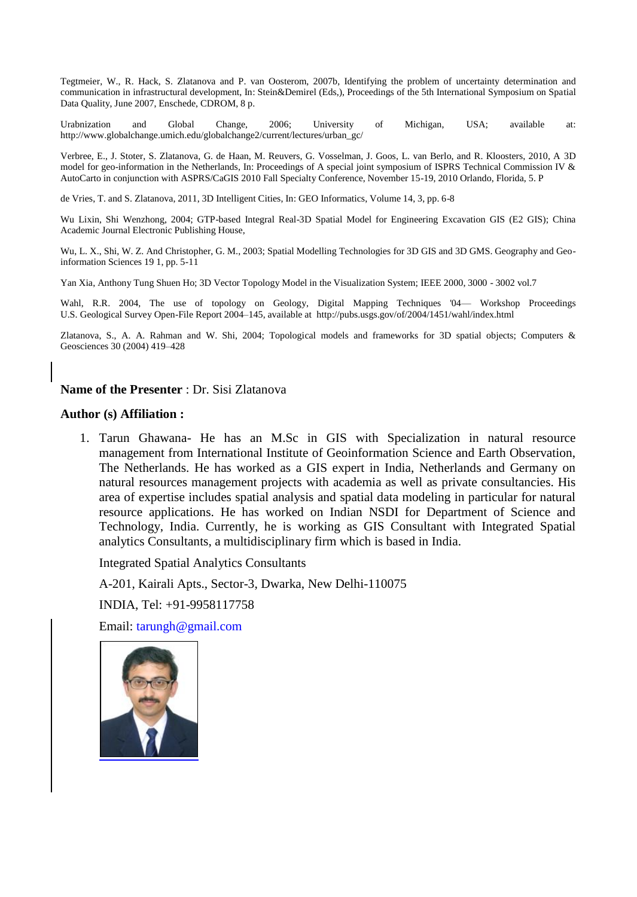Tegtmeier, W., R. Hack, S. Zlatanova and P. van Oosterom, 2007b, Identifying the problem of uncertainty determination and communication in infrastructural development, In: Stein&Demirel (Eds,), Proceedings of the 5th International Symposium on Spatial Data Quality, June 2007, Enschede, CDROM, 8 p.

Urabnization and Global Change, 2006; University of Michigan, USA; available at: http://www.globalchange.umich.edu/globalchange2/current/lectures/urban\_gc/

Verbree, E., J. Stoter, S. Zlatanova, G. de Haan, M. Reuvers, G. Vosselman, J. Goos, L. van Berlo, and R. Kloosters, 2010, A 3D model for geo-information in the Netherlands, In: Proceedings of A special joint symposium of ISPRS Technical Commission IV & AutoCarto in conjunction with ASPRS/CaGIS 2010 Fall Specialty Conference, November 15-19, 2010 Orlando, Florida, 5. P

de Vries, T. and S. Zlatanova, 2011, 3D Intelligent Cities, In: GEO Informatics, Volume 14, 3, pp. 6-8

Wu Lixin, Shi Wenzhong, 2004; GTP-based Integral Real-3D Spatial Model for Engineering Excavation GIS (E2 GIS); China Academic Journal Electronic Publishing House,

Wu, L. X., Shi, W. Z. And Christopher, G. M., 2003; Spatial Modelling Technologies for 3D GIS and 3D GMS. Geography and Geoinformation Sciences 19 1, pp. 5-11

Yan Xia, Anthony Tung Shuen Ho; 3D Vector Topology Model in the Visualization System; IEEE 2000, 3000 - 3002 vol.7

Wahl, R.R. 2004, The use of topology on Geology, Digital Mapping Techniques '04— Workshop Proceedings U.S. Geological Survey Open-File Report 2004–145, available at http://pubs.usgs.gov/of/2004/1451/wahl/index.html

Zlatanova, S., A. A. Rahman and W. Shi, 2004; Topological models and frameworks for 3D spatial objects; Computers & Geosciences 30 (2004) 419–428

#### **Name of the Presenter** : Dr. Sisi Zlatanova

#### **Author (s) Affiliation :**

1. Tarun Ghawana- He has an M.Sc in GIS with Specialization in natural resource management from International Institute of Geoinformation Science and Earth Observation, The Netherlands. He has worked as a GIS expert in India, Netherlands and Germany on natural resources management projects with academia as well as private consultancies. His area of expertise includes spatial analysis and spatial data modeling in particular for natural resource applications. He has worked on Indian NSDI for Department of Science and Technology, India. Currently, he is working as GIS Consultant with Integrated Spatial analytics Consultants, a multidisciplinary firm which is based in India.

Integrated Spatial Analytics Consultants

A-201, Kairali Apts., Sector-3, Dwarka, New Delhi-110075

INDIA, Tel: +91-9958117758

Email: [tarungh@gmail.com](mailto:tarungh@gmail.com)